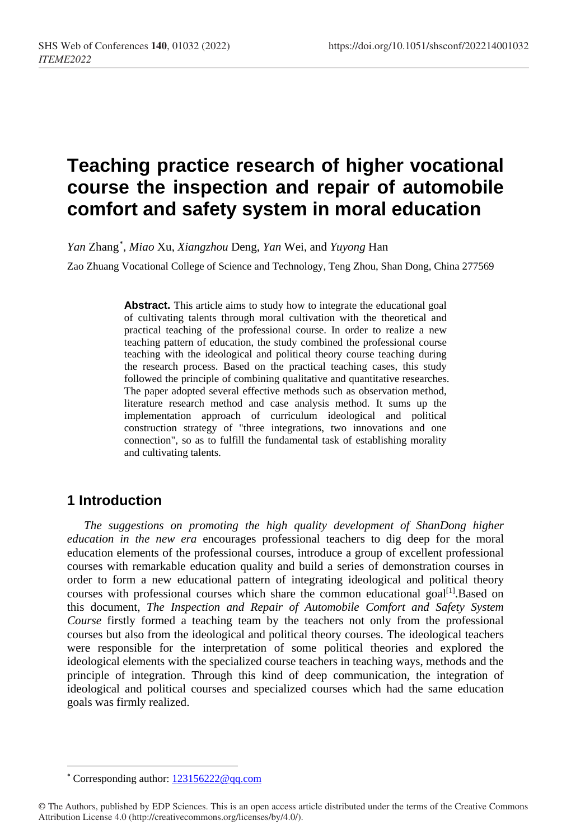# **Teaching practice research of higher vocational course the inspection and repair of automobile comfort and safety system in moral education**

*Yan* Zhang[\\*](#page-0-0) , *Miao* Xu, *Xiangzhou* Deng, *Yan* Wei, and *Yuyong* Han

Zao Zhuang Vocational College of Science and Technology, Teng Zhou, Shan Dong, China 277569

Abstract. This article aims to study how to integrate the educational goal of cultivating talents through moral cultivation with the theoretical and practical teaching of the professional course. In order to realize a new teaching pattern of education, the study combined the professional course teaching with the ideological and political theory course teaching during the research process. Based on the practical teaching cases, this study followed the principle of combining qualitative and quantitative researches. The paper adopted several effective methods such as observation method, literature research method and case analysis method. It sums up the implementation approach of curriculum ideological and political construction strategy of "three integrations, two innovations and one connection", so as to fulfill the fundamental task of establishing morality and cultivating talents.

## **1 Introduction**

*The suggestions on promoting the high quality development of ShanDong higher education in the new era* encourages professional teachers to dig deep for the moral education elements of the professional courses, introduce a group of excellent professional courses with remarkable education quality and build a series of demonstration courses in order to form a new educational pattern of integrating ideological and political theory courses with professional courses which share the common educational goal<sup>[1]</sup>.Based on this document, *The Inspection and Repair of Automobile Comfort and Safety System Course* firstly formed a teaching team by the teachers not only from the professional courses but also from the ideological and political theory courses. The ideological teachers were responsible for the interpretation of some political theories and explored the ideological elements with the specialized course teachers in teaching ways, methods and the principle of integration. Through this kind of deep communication, the integration of ideological and political courses and specialized courses which had the same education goals was firmly realized.

 <sup>\*</sup> Corresponding author: [123156222@qq.com](mailto:123156222@qq.com)

<span id="page-0-0"></span><sup>©</sup> The Authors, published by EDP Sciences. This is an open access article distributed under the terms of the Creative Commons Attribution License 4.0 (http://creativecommons.org/licenses/by/4.0/).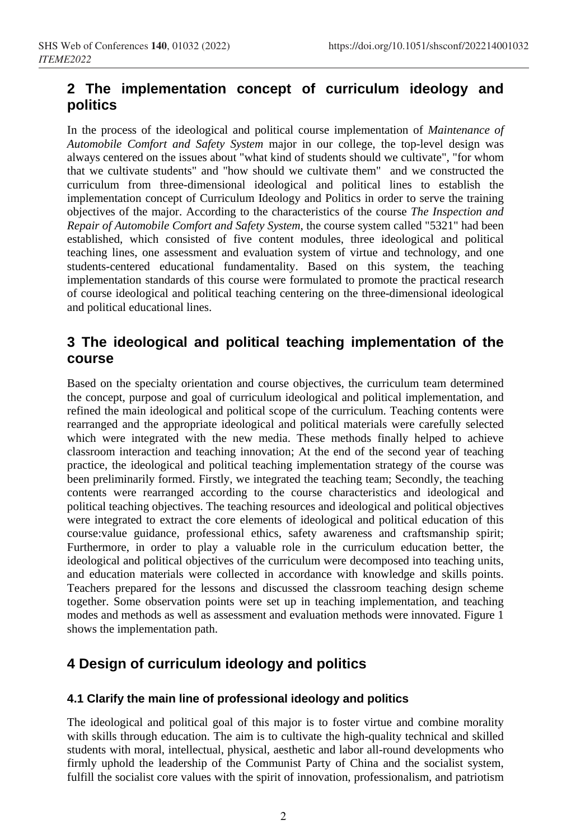## **2 The implementation concept of curriculum ideology and politics**

In the process of the ideological and political course implementation of *Maintenance of Automobile Comfort and Safety System* major in our college, the top-level design was always centered on the issues about "what kind of students should we cultivate", "for whom that we cultivate students" and "how should we cultivate them" and we constructed the curriculum from three-dimensional ideological and political lines to establish the implementation concept of Curriculum Ideology and Politics in order to serve the training objectives of the major. According to the characteristics of the course *The Inspection and Repair of Automobile Comfort and Safety System*, the course system called "5321" had been established, which consisted of five content modules, three ideological and political teaching lines, one assessment and evaluation system of virtue and technology, and one students-centered educational fundamentality. Based on this system, the teaching implementation standards of this course were formulated to promote the practical research of course ideological and political teaching centering on the three-dimensional ideological and political educational lines.

## **3 The ideological and political teaching implementation of the course**

Based on the specialty orientation and course objectives, the curriculum team determined the concept, purpose and goal of curriculum ideological and political implementation, and refined the main ideological and political scope of the curriculum. Teaching contents were rearranged and the appropriate ideological and political materials were carefully selected which were integrated with the new media. These methods finally helped to achieve classroom interaction and teaching innovation; At the end of the second year of teaching practice, the ideological and political teaching implementation strategy of the course was been preliminarily formed. Firstly, we integrated the teaching team; Secondly, the teaching contents were rearranged according to the course characteristics and ideological and political teaching objectives. The teaching resources and ideological and political objectives were integrated to extract the core elements of ideological and political education of this course:value guidance, professional ethics, safety awareness and craftsmanship spirit; Furthermore, in order to play a valuable role in the curriculum education better, the ideological and political objectives of the curriculum were decomposed into teaching units, and education materials were collected in accordance with knowledge and skills points. Teachers prepared for the lessons and discussed the classroom teaching design scheme together. Some observation points were set up in teaching implementation, and teaching modes and methods as well as assessment and evaluation methods were innovated. Figure 1 shows the implementation path.

# **4 Design of curriculum ideology and politics**

#### **4.1 Clarify the main line of professional ideology and politics**

The ideological and political goal of this major is to foster virtue and combine morality with skills through education. The aim is to cultivate the high-quality technical and skilled students with moral, intellectual, physical, aesthetic and labor all-round developments who firmly uphold the leadership of the Communist Party of China and the socialist system, fulfill the socialist core values with the spirit of innovation, professionalism, and patriotism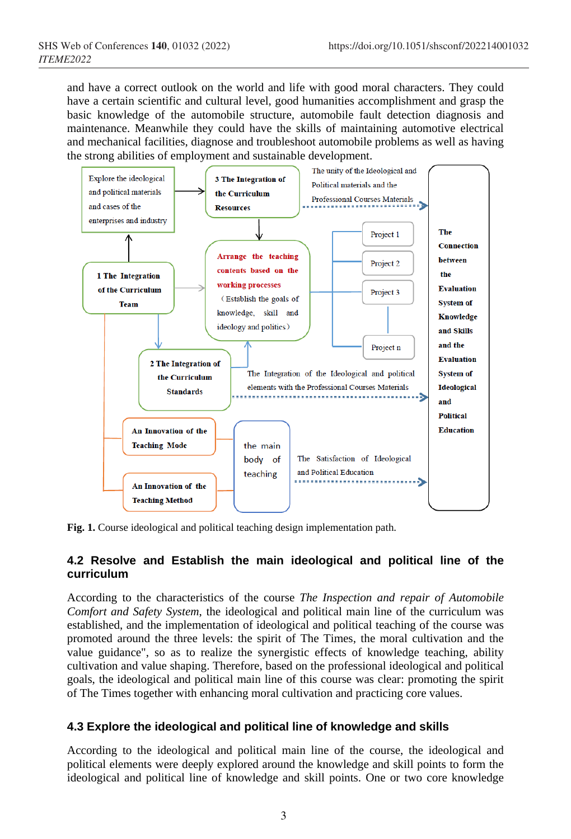and have a correct outlook on the world and life with good moral characters. They could have a certain scientific and cultural level, good humanities accomplishment and grasp the basic knowledge of the automobile structure, automobile fault detection diagnosis and maintenance. Meanwhile they could have the skills of maintaining automotive electrical and mechanical facilities, diagnose and troubleshoot automobile problems as well as having the strong abilities of employment and sustainable development.



**Fig. 1.** Course ideological and political teaching design implementation path.

#### **4.2 Resolve and Establish the main ideological and political line of the curriculum**

According to the characteristics of the course *The Inspection and repair of Automobile Comfort and Safety System*, the ideological and political main line of the curriculum was established, and the implementation of ideological and political teaching of the course was promoted around the three levels: the spirit of The Times, the moral cultivation and the value guidance", so as to realize the synergistic effects of knowledge teaching, ability cultivation and value shaping. Therefore, based on the professional ideological and political goals, the ideological and political main line of this course was clear: promoting the spirit of The Times together with enhancing moral cultivation and practicing core values.

#### **4.3 Explore the ideological and political line of knowledge and skills**

According to the ideological and political main line of the course, the ideological and political elements were deeply explored around the knowledge and skill points to form the ideological and political line of knowledge and skill points. One or two core knowledge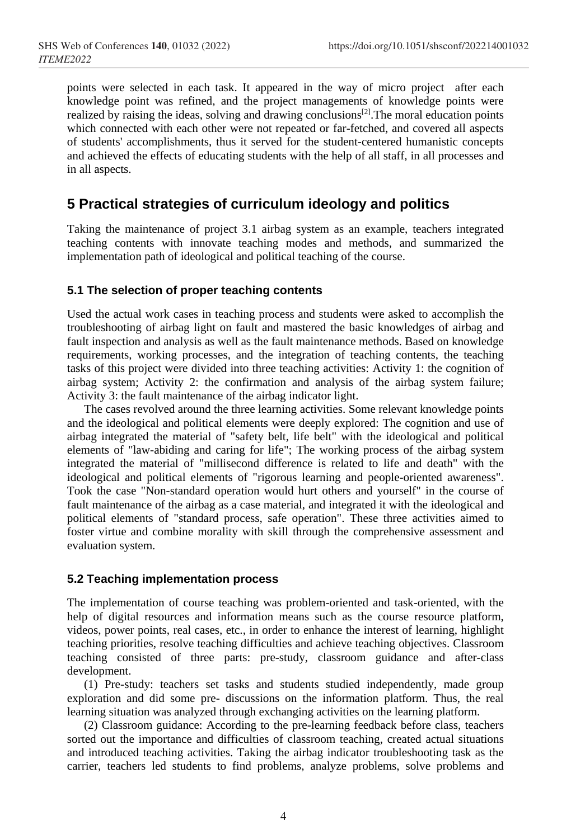points were selected in each task. It appeared in the way of micro project after each knowledge point was refined, and the project managements of knowledge points were realized by raising the ideas, solving and drawing conclusions<sup>[2]</sup>. The moral education points which connected with each other were not repeated or far-fetched, and covered all aspects of students' accomplishments, thus it served for the student-centered humanistic concepts and achieved the effects of educating students with the help of all staff, in all processes and in all aspects.

## **5 Practical strategies of curriculum ideology and politics**

Taking the maintenance of project 3.1 airbag system as an example, teachers integrated teaching contents with innovate teaching modes and methods, and summarized the implementation path of ideological and political teaching of the course.

#### **5.1 The selection of proper teaching contents**

Used the actual work cases in teaching process and students were asked to accomplish the troubleshooting of airbag light on fault and mastered the basic knowledges of airbag and fault inspection and analysis as well as the fault maintenance methods. Based on knowledge requirements, working processes, and the integration of teaching contents, the teaching tasks of this project were divided into three teaching activities: Activity 1: the cognition of airbag system; Activity 2: the confirmation and analysis of the airbag system failure; Activity 3: the fault maintenance of the airbag indicator light.

The cases revolved around the three learning activities. Some relevant knowledge points and the ideological and political elements were deeply explored: The cognition and use of airbag integrated the material of "safety belt, life belt" with the ideological and political elements of "law-abiding and caring for life"; The working process of the airbag system integrated the material of "millisecond difference is related to life and death" with the ideological and political elements of "rigorous learning and people-oriented awareness". Took the case "Non-standard operation would hurt others and yourself" in the course of fault maintenance of the airbag as a case material, and integrated it with the ideological and political elements of "standard process, safe operation". These three activities aimed to foster virtue and combine morality with skill through the comprehensive assessment and evaluation system.

#### **5.2 Teaching implementation process**

The implementation of course teaching was problem-oriented and task-oriented, with the help of digital resources and information means such as the course resource platform, videos, power points, real cases, etc., in order to enhance the interest of learning, highlight teaching priorities, resolve teaching difficulties and achieve teaching objectives. Classroom teaching consisted of three parts: pre-study, classroom guidance and after-class development.

(1) Pre-study: teachers set tasks and students studied independently, made group exploration and did some pre- discussions on the information platform. Thus, the real learning situation was analyzed through exchanging activities on the learning platform.

(2) Classroom guidance: According to the pre-learning feedback before class, teachers sorted out the importance and difficulties of classroom teaching, created actual situations and introduced teaching activities. Taking the airbag indicator troubleshooting task as the carrier, teachers led students to find problems, analyze problems, solve problems and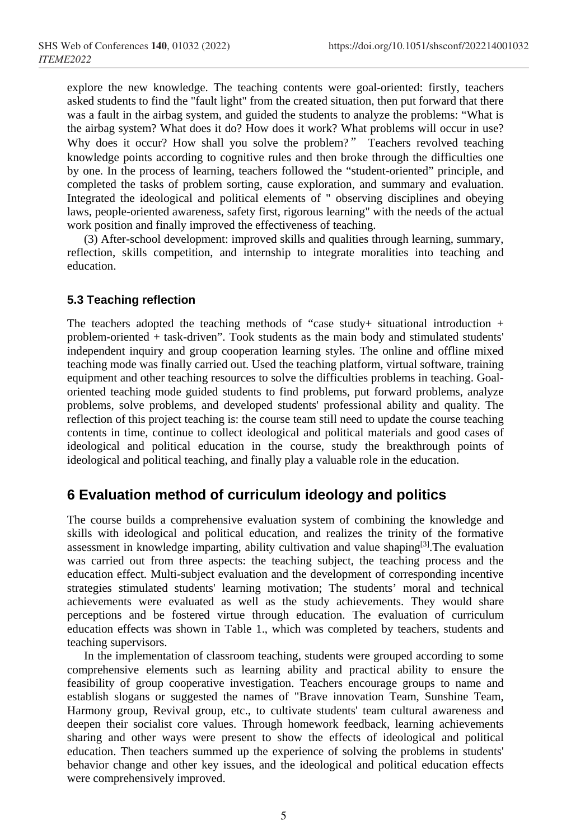explore the new knowledge. The teaching contents were goal-oriented: firstly, teachers asked students to find the "fault light" from the created situation, then put forward that there was a fault in the airbag system, and guided the students to analyze the problems: "What is the airbag system? What does it do? How does it work? What problems will occur in use? Why does it occur? How shall you solve the problem?" Teachers revolved teaching knowledge points according to cognitive rules and then broke through the difficulties one by one. In the process of learning, teachers followed the "student-oriented" principle, and completed the tasks of problem sorting, cause exploration, and summary and evaluation. Integrated the ideological and political elements of " observing disciplines and obeying laws, people-oriented awareness, safety first, rigorous learning" with the needs of the actual work position and finally improved the effectiveness of teaching.

(3) After-school development: improved skills and qualities through learning, summary, reflection, skills competition, and internship to integrate moralities into teaching and education.

#### **5.3 Teaching reflection**

The teachers adopted the teaching methods of "case study+ situational introduction  $+$ problem-oriented + task-driven". Took students as the main body and stimulated students' independent inquiry and group cooperation learning styles. The online and offline mixed teaching mode was finally carried out. Used the teaching platform, virtual software, training equipment and other teaching resources to solve the difficulties problems in teaching. Goaloriented teaching mode guided students to find problems, put forward problems, analyze problems, solve problems, and developed students' professional ability and quality. The reflection of this project teaching is: the course team still need to update the course teaching contents in time, continue to collect ideological and political materials and good cases of ideological and political education in the course, study the breakthrough points of ideological and political teaching, and finally play a valuable role in the education.

## **6 Evaluation method of curriculum ideology and politics**

The course builds a comprehensive evaluation system of combining the knowledge and skills with ideological and political education, and realizes the trinity of the formative assessment in knowledge imparting, ability cultivation and value shaping<sup>[3]</sup>. The evaluation was carried out from three aspects: the teaching subject, the teaching process and the education effect. Multi-subject evaluation and the development of corresponding incentive strategies stimulated students' learning motivation; The students' moral and technical achievements were evaluated as well as the study achievements. They would share perceptions and be fostered virtue through education. The evaluation of curriculum education effects was shown in Table 1., which was completed by teachers, students and teaching supervisors.

In the implementation of classroom teaching, students were grouped according to some comprehensive elements such as learning ability and practical ability to ensure the feasibility of group cooperative investigation. Teachers encourage groups to name and establish slogans or suggested the names of "Brave innovation Team, Sunshine Team, Harmony group, Revival group, etc., to cultivate students' team cultural awareness and deepen their socialist core values. Through homework feedback, learning achievements sharing and other ways were present to show the effects of ideological and political education. Then teachers summed up the experience of solving the problems in students' behavior change and other key issues, and the ideological and political education effects were comprehensively improved.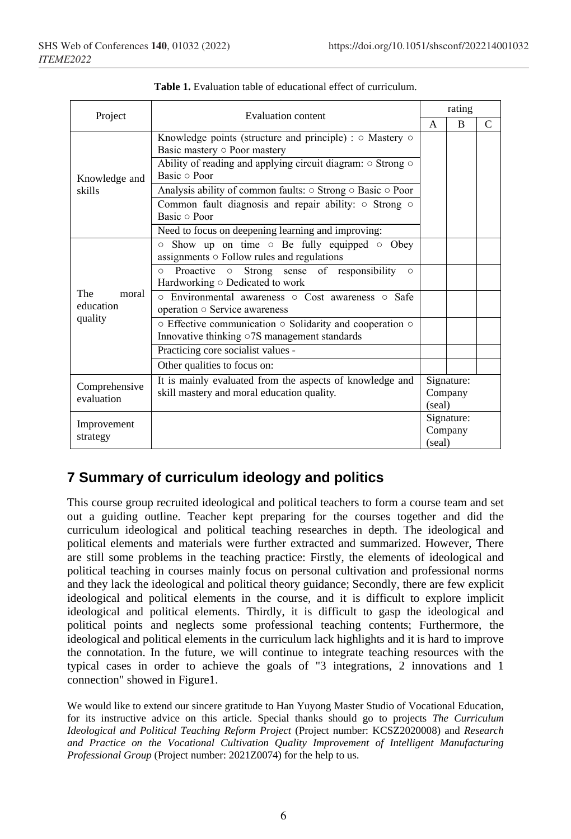| Project                              | Evaluation content                                                                                                         | rating                          |                |               |
|--------------------------------------|----------------------------------------------------------------------------------------------------------------------------|---------------------------------|----------------|---------------|
|                                      |                                                                                                                            | $\mathsf{A}$                    | $\overline{B}$ | $\mathcal{C}$ |
| Knowledge and<br>skills              | Knowledge points (structure and principle) : $\circ$ Mastery $\circ$<br>Basic mastery o Poor mastery                       |                                 |                |               |
|                                      | Ability of reading and applying circuit diagram: $\circ$ Strong $\circ$<br>Basic o Poor                                    |                                 |                |               |
|                                      | Analysis ability of common faults: $\circ$ Strong $\circ$ Basic $\circ$ Poor                                               |                                 |                |               |
|                                      | Common fault diagnosis and repair ability: o Strong o<br>Basic o Poor                                                      |                                 |                |               |
|                                      | Need to focus on deepening learning and improving:                                                                         |                                 |                |               |
| The<br>moral<br>education<br>quality | $\circ$ Show up on time $\circ$ Be fully equipped $\circ$ Obey<br>assignments $\circ$ Follow rules and regulations         |                                 |                |               |
|                                      | Proactive o Strong sense of responsibility<br>$\circ$<br>$\circ$<br>Hardworking o Dedicated to work                        |                                 |                |               |
|                                      | o Environmental awareness o Cost awareness o Safe<br>operation o Service awareness                                         |                                 |                |               |
|                                      | $\circ$ Effective communication $\circ$ Solidarity and cooperation $\circ$<br>Innovative thinking o7S management standards |                                 |                |               |
|                                      | Practicing core socialist values -                                                                                         |                                 |                |               |
|                                      | Other qualities to focus on:                                                                                               |                                 |                |               |
| Comprehensive<br>evaluation          | It is mainly evaluated from the aspects of knowledge and<br>skill mastery and moral education quality.                     | Signature:<br>Company<br>(seal) |                |               |
| Improvement<br>strategy              |                                                                                                                            | Signature:<br>Company<br>(seal) |                |               |

**Table 1.** Evaluation table of educational effect of curriculum.

# **7 Summary of curriculum ideology and politics**

This course group recruited ideological and political teachers to form a course team and set out a guiding outline. Teacher kept preparing for the courses together and did the curriculum ideological and political teaching researches in depth. The ideological and political elements and materials were further extracted and summarized. However, There are still some problems in the teaching practice: Firstly, the elements of ideological and political teaching in courses mainly focus on personal cultivation and professional norms and they lack the ideological and political theory guidance; Secondly, there are few explicit ideological and political elements in the course, and it is difficult to explore implicit ideological and political elements. Thirdly, it is difficult to gasp the ideological and political points and neglects some professional teaching contents; Furthermore, the ideological and political elements in the curriculum lack highlights and it is hard to improve the connotation. In the future, we will continue to integrate teaching resources with the typical cases in order to achieve the goals of "3 integrations, 2 innovations and 1 connection" showed in Figure1.

We would like to extend our sincere gratitude to Han Yuyong Master Studio of Vocational Education, for its instructive advice on this article. Special thanks should go to projects *The Curriculum Ideological and Political Teaching Reform Project* (Project number: KCSZ2020008) and *Research and Practice on the Vocational Cultivation Quality Improvement of Intelligent Manufacturing Professional Group* (Project number: 2021Z0074) for the help to us.